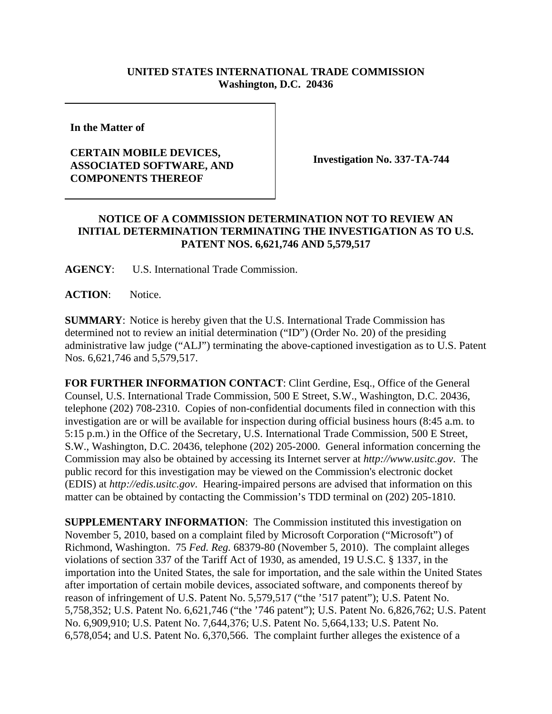## **UNITED STATES INTERNATIONAL TRADE COMMISSION Washington, D.C. 20436**

**In the Matter of** 

## **CERTAIN MOBILE DEVICES, ASSOCIATED SOFTWARE, AND COMPONENTS THEREOF**

**Investigation No. 337-TA-744**

## **NOTICE OF A COMMISSION DETERMINATION NOT TO REVIEW AN INITIAL DETERMINATION TERMINATING THE INVESTIGATION AS TO U.S. PATENT NOS. 6,621,746 AND 5,579,517**

**AGENCY**: U.S. International Trade Commission.

**ACTION**: Notice.

**SUMMARY**: Notice is hereby given that the U.S. International Trade Commission has determined not to review an initial determination ("ID") (Order No. 20) of the presiding administrative law judge ("ALJ") terminating the above-captioned investigation as to U.S. Patent Nos. 6,621,746 and 5,579,517.

**FOR FURTHER INFORMATION CONTACT**: Clint Gerdine, Esq., Office of the General Counsel, U.S. International Trade Commission, 500 E Street, S.W., Washington, D.C. 20436, telephone (202) 708-2310. Copies of non-confidential documents filed in connection with this investigation are or will be available for inspection during official business hours (8:45 a.m. to 5:15 p.m.) in the Office of the Secretary, U.S. International Trade Commission, 500 E Street, S.W., Washington, D.C. 20436, telephone (202) 205-2000. General information concerning the Commission may also be obtained by accessing its Internet server at *http://www.usitc.gov*. The public record for this investigation may be viewed on the Commission's electronic docket (EDIS) at *http://edis.usitc.gov*. Hearing-impaired persons are advised that information on this matter can be obtained by contacting the Commission's TDD terminal on (202) 205-1810.

**SUPPLEMENTARY INFORMATION**: The Commission instituted this investigation on November 5, 2010, based on a complaint filed by Microsoft Corporation ("Microsoft") of Richmond, Washington. 75 *Fed. Reg.* 68379-80 (November 5, 2010). The complaint alleges violations of section 337 of the Tariff Act of 1930, as amended, 19 U.S.C. § 1337, in the importation into the United States, the sale for importation, and the sale within the United States after importation of certain mobile devices, associated software, and components thereof by reason of infringement of U.S. Patent No. 5,579,517 ("the '517 patent"); U.S. Patent No. 5,758,352; U.S. Patent No. 6,621,746 ("the '746 patent"); U.S. Patent No. 6,826,762; U.S. Patent No. 6,909,910; U.S. Patent No. 7,644,376; U.S. Patent No. 5,664,133; U.S. Patent No. 6,578,054; and U.S. Patent No. 6,370,566. The complaint further alleges the existence of a